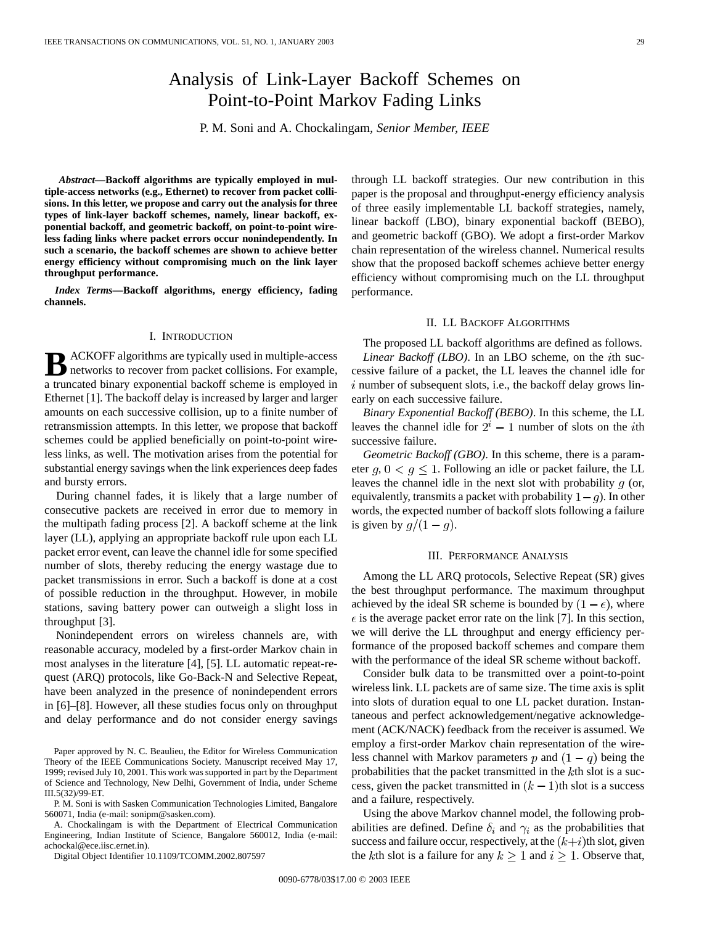# Analysis of Link-Layer Backoff Schemes on Point-to-Point Markov Fading Links

P. M. Soni and A. Chockalingam*, Senior Member, IEEE*

*Abstract—***Backoff algorithms are typically employed in multiple-access networks (e.g., Ethernet) to recover from packet collisions. In this letter, we propose and carry out the analysis for three types of link-layer backoff schemes, namely, linear backoff, exponential backoff, and geometric backoff, on point-to-point wireless fading links where packet errors occur nonindependently. In such a scenario, the backoff schemes are shown to achieve better energy efficiency without compromising much on the link layer throughput performance.**

*Index Terms—***Backoff algorithms, energy efficiency, fading channels.**

# I. INTRODUCTION

**B** ACKOFF algorithms are typically used in multiple-access<br>networks to recover from packet collisions. For example,<br>and the parameter of history and properties health and the properties a truncated binary exponential backoff scheme is employed in Ethernet [1]. The backoff delay is increased by larger and larger amounts on each successive collision, up to a finite number of retransmission attempts. In this letter, we propose that backoff schemes could be applied beneficially on point-to-point wireless links, as well. The motivation arises from the potential for substantial energy savings when the link experiences deep fades and bursty errors.

During channel fades, it is likely that a large number of consecutive packets are received in error due to memory in the multipath fading process [2]. A backoff scheme at the link layer (LL), applying an appropriate backoff rule upon each LL packet error event, can leave the channel idle for some specified number of slots, thereby reducing the energy wastage due to packet transmissions in error. Such a backoff is done at a cost of possible reduction in the throughput. However, in mobile stations, saving battery power can outweigh a slight loss in throughput [3].

Nonindependent errors on wireless channels are, with reasonable accuracy, modeled by a first-order Markov chain in most analyses in the literature [4], [5]. LL automatic repeat-request (ARQ) protocols, like Go-Back-N and Selective Repeat, have been analyzed in the presence of nonindependent errors in [6]–[8]. However, all these studies focus only on throughput and delay performance and do not consider energy savings

Paper approved by N. C. Beaulieu, the Editor for Wireless Communication Theory of the IEEE Communications Society. Manuscript received May 17, 1999; revised July 10, 2001. This work was supported in part by the Department of Science and Technology, New Delhi, Government of India, under Scheme III.5(32)/99-ET.

P. M. Soni is with Sasken Communication Technologies Limited, Bangalore 560071, India (e-mail: sonipm@sasken.com).

A. Chockalingam is with the Department of Electrical Communication Engineering, Indian Institute of Science, Bangalore 560012, India (e-mail: achockal@ece.iisc.ernet.in).

Digital Object Identifier 10.1109/TCOMM.2002.807597

through LL backoff strategies. Our new contribution in this paper is the proposal and throughput-energy efficiency analysis of three easily implementable LL backoff strategies, namely, linear backoff (LBO), binary exponential backoff (BEBO), and geometric backoff (GBO). We adopt a first-order Markov chain representation of the wireless channel. Numerical results show that the proposed backoff schemes achieve better energy efficiency without compromising much on the LL throughput performance.

#### II. LL BACKOFF ALGORITHMS

The proposed LL backoff algorithms are defined as follows. *Linear Backoff (LBO)*. In an LBO scheme, on the *i*th successive failure of a packet, the LL leaves the channel idle for  $i$  number of subsequent slots, i.e., the backoff delay grows linearly on each successive failure.

*Binary Exponential Backoff (BEBO)*. In this scheme, the LL leaves the channel idle for  $2^i - 1$  number of slots on the *i*th successive failure.

*Geometric Backoff (GBO)*. In this scheme, there is a parameter  $g, 0 < g \leq 1$ . Following an idle or packet failure, the LL leaves the channel idle in the next slot with probability  $q$  (or, equivalently, transmits a packet with probability  $1 - g$ ). In other words, the expected number of backoff slots following a failure is given by  $g/(1-g)$ .

#### III. PERFORMANCE ANALYSIS

Among the LL ARQ protocols, Selective Repeat (SR) gives the best throughput performance. The maximum throughput achieved by the ideal SR scheme is bounded by  $(1 - \epsilon)$ , where  $\epsilon$  is the average packet error rate on the link [7]. In this section, we will derive the LL throughput and energy efficiency performance of the proposed backoff schemes and compare them with the performance of the ideal SR scheme without backoff.

Consider bulk data to be transmitted over a point-to-point wireless link. LL packets are of same size. The time axis is split into slots of duration equal to one LL packet duration. Instantaneous and perfect acknowledgement/negative acknowledgement (ACK/NACK) feedback from the receiver is assumed. We employ a first-order Markov chain representation of the wireless channel with Markov parameters p and  $(1 - q)$  being the probabilities that the packet transmitted in the  $k$ th slot is a success, given the packet transmitted in  $(k - 1)$ th slot is a success and a failure, respectively.

Using the above Markov channel model, the following probabilities are defined. Define  $\delta_i$  and  $\gamma_i$  as the probabilities that success and failure occur, respectively, at the  $(k+i)$ th slot, given the kth slot is a failure for any  $k \ge 1$  and  $i \ge 1$ . Observe that,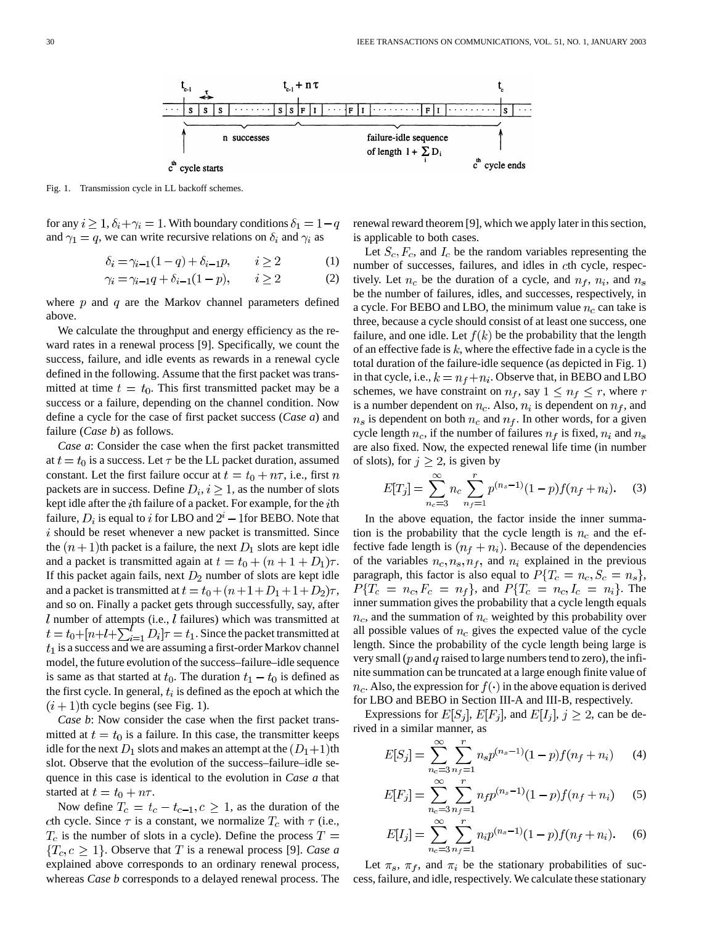

Fig. 1. Transmission cycle in LL backoff schemes.

for any  $i \geq 1$ ,  $\delta_i + \gamma_i = 1$ . With boundary conditions  $\delta_1 = 1 - q$ and  $\gamma_1 = q$ , we can write recursive relations on  $\delta_i$  and  $\gamma_i$  as

$$
\delta_i = \gamma_{i-1}(1-q) + \delta_{i-1}p, \qquad i \ge 2 \tag{1}
$$

$$
\gamma_i = \gamma_{i-1}q + \delta_{i-1}(1-p), \qquad i \ge 2 \tag{2}
$$

where  $p$  and  $q$  are the Markov channel parameters defined above.

We calculate the throughput and energy efficiency as the reward rates in a renewal process [9]. Specifically, we count the success, failure, and idle events as rewards in a renewal cycle defined in the following. Assume that the first packet was transmitted at time  $t = t_0$ . This first transmitted packet may be a success or a failure, depending on the channel condition. Now define a cycle for the case of first packet success (*Case a*) and failure (*Case b*) as follows.

*Case a*: Consider the case when the first packet transmitted at  $t = t_0$  is a success. Let  $\tau$  be the LL packet duration, assumed constant. Let the first failure occur at  $t = t_0 + n\tau$ , i.e., first n packets are in success. Define  $D_i, i \geq 1$ , as the number of slots kept idle after the *i*th failure of a packet. For example, for the *i*th failure,  $D_i$  is equal to i for LBO and  $2^i$  – 1 for BEBO. Note that  $i$  should be reset whenever a new packet is transmitted. Since the  $(n + 1)$ th packet is a failure, the next  $D_1$  slots are kept idle and a packet is transmitted again at  $t = t_0 + (n + 1 + D_1)\tau$ . If this packet again fails, next  $D_2$  number of slots are kept idle and a packet is transmitted at  $t = t_0 + (n+1+D_1+1+D_2)\tau$ , and so on. Finally a packet gets through successfully, say, after  $l$  number of attempts (i.e.,  $l$  failures) which was transmitted at  $t = t_0 + [n+l+\sum_{i=1}^{l} D_i]\tau = t_1$ . Since the packet transmitted at  $t_1$  is a success and we are assuming a first-order Markov channel model, the future evolution of the success–failure–idle sequence is same as that started at  $t_0$ . The duration  $t_1 - t_0$  is defined as the first cycle. In general,  $t_i$  is defined as the epoch at which the  $(i + 1)$ th cycle begins (see Fig. 1).

*Case b*: Now consider the case when the first packet transmitted at  $t = t_0$  is a failure. In this case, the transmitter keeps idle for the next  $D_1$  slots and makes an attempt at the  $(D_1+1)$ th slot. Observe that the evolution of the success–failure–idle sequence in this case is identical to the evolution in *Case a* that started at  $t = t_0 + n\tau$ .

Now define  $T_c = t_c - t_{c-1}, c \ge 1$ , as the duration of the cth cycle. Since  $\tau$  is a constant, we normalize  $T_c$  with  $\tau$  (i.e.,  $T_c$  is the number of slots in a cycle). Define the process  $T =$  ${T<sub>c</sub>, c > 1}$ . Observe that T is a renewal process [9]. *Case a* explained above corresponds to an ordinary renewal process, whereas *Case b* corresponds to a delayed renewal process. The renewal reward theorem [9], which we apply later in this section, is applicable to both cases.

Let  $S_c, F_c$ , and  $I_c$  be the random variables representing the number of successes, failures, and idles in cth cycle, respectively. Let  $n_c$  be the duration of a cycle, and  $n_f$ ,  $n_i$ , and  $n_s$ be the number of failures, idles, and successes, respectively, in a cycle. For BEBO and LBO, the minimum value  $n_c$  can take is three, because a cycle should consist of at least one success, one failure, and one idle. Let  $f(k)$  be the probability that the length of an effective fade is  $k$ , where the effective fade in a cycle is the total duration of the failure-idle sequence (as depicted in Fig. 1) in that cycle, i.e.,  $k = n_f + n_i$ . Observe that, in BEBO and LBO schemes, we have constraint on  $n_f$ , say  $1 \leq n_f \leq r$ , where r is a number dependent on  $n_c$ . Also,  $n_i$  is dependent on  $n_f$ , and  $n_s$  is dependent on both  $n_c$  and  $n_f$ . In other words, for a given cycle length  $n_c$ , if the number of failures  $n_f$  is fixed,  $n_i$  and  $n_s$ are also fixed. Now, the expected renewal life time (in number of slots), for  $j \geq 2$ , is given by

$$
E[T_j] = \sum_{n_c=3}^{\infty} n_c \sum_{n_f=1}^{r} p^{(n_s-1)} (1-p) f(n_f + n_i).
$$
 (3)

In the above equation, the factor inside the inner summation is the probability that the cycle length is  $n_c$  and the effective fade length is  $(n_f + n_i)$ . Because of the dependencies of the variables  $n_c, n_s, n_f$ , and  $n_i$  explained in the previous paragraph, this factor is also equal to  $P\{T_c = n_c, S_c = n_s\},\$  $P\{T_c = n_c, F_c = n_f\}$ , and  $P\{T_c = n_c, I_c = n_i\}$ . The inner summation gives the probability that a cycle length equals  $n_c$ , and the summation of  $n_c$  weighted by this probability over all possible values of  $n_c$  gives the expected value of the cycle length. Since the probability of the cycle length being large is very small ( $p$  and  $q$  raised to large numbers tend to zero), the infinite summation can be truncated at a large enough finite value of  $n_c$ . Also, the expression for  $f(\cdot)$  in the above equation is derived for LBO and BEBO in Section III-A and III-B, respectively.

Expressions for  $E[S_i]$ ,  $E[F_j]$ , and  $E[I_j]$ ,  $j \ge 2$ , can be derived in a similar manner, as

$$
E[S_j] = \sum_{n_c=3}^{\infty} \sum_{n_f=1}^{r} n_s p^{(n_s-1)} (1-p) f(n_f + n_i)
$$
 (4)

$$
E[F_j] = \sum_{n_c=3}^{\infty} \sum_{n_f=1}^{r} n_f p^{(n_s-1)} (1-p) f(n_f + n_i)
$$
 (5)

$$
E[I_j] = \sum_{n_c=3}^{\infty} \sum_{n_f=1}^{r} n_i p^{(n_s-1)} (1-p) f(n_f + n_i).
$$
 (6)

Let  $\pi_s$ ,  $\pi_f$ , and  $\pi_i$  be the stationary probabilities of success, failure, and idle, respectively. We calculate these stationary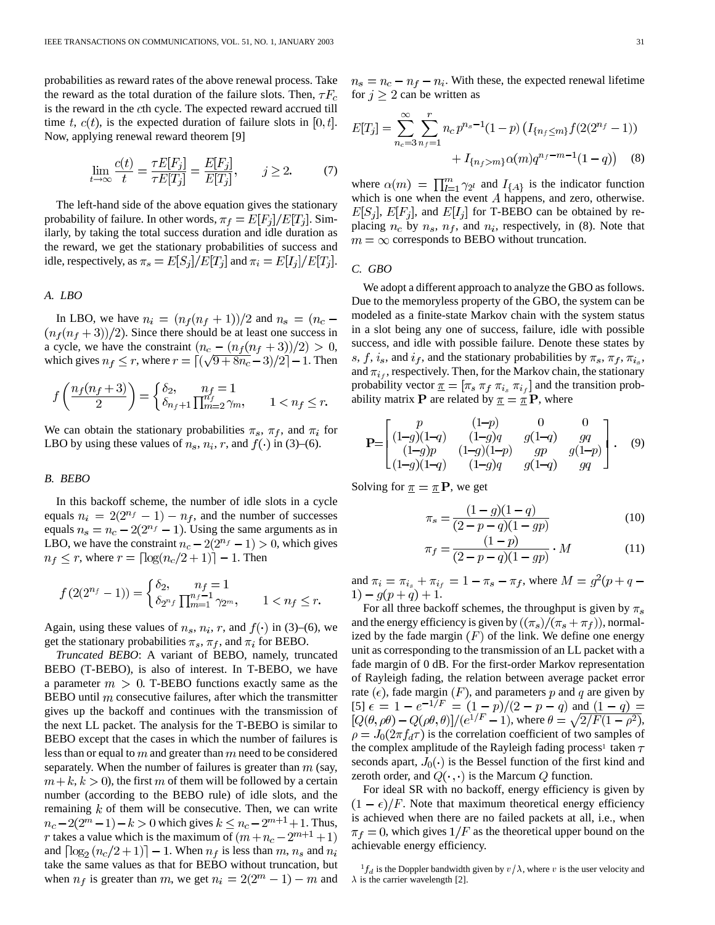probabilities as reward rates of the above renewal process. Take the reward as the total duration of the failure slots. Then,  $\tau F_c$ is the reward in the cth cycle. The expected reward accrued till time t,  $c(t)$ , is the expected duration of failure slots in [0, t]. Now, applying renewal reward theorem [9]

$$
\lim_{t \to \infty} \frac{c(t)}{t} = \frac{\tau E[F_j]}{\tau E[T_j]} = \frac{E[F_j]}{E[T_j]}, \qquad j \ge 2. \tag{7}
$$

The left-hand side of the above equation gives the stationary probability of failure. In other words,  $\pi_f = E[F_i]/E[T_i]$ . Similarly, by taking the total success duration and idle duration as the reward, we get the stationary probabilities of success and idle, respectively, as  $\pi_s = E[S_i]/E[T_i]$  and  $\pi_i = E[I_i]/E[T_i]$ .

## *A. LBO*

In LBO, we have  $n_i = (n_f(n_f + 1))/2$  and  $n_s = (n_c (n_f(n_f+3))/2$ ). Since there should be at least one success in a cycle, we have the constraint  $(n_c - (n_f(n_f + 3))/2) > 0$ , which gives  $n_f \le r$ , where  $r = \lfloor (\sqrt{9+8n_c}-3)/2 \rfloor - 1$ . Then

$$
f\left(\frac{n_f(n_f+3)}{2}\right) = \begin{cases} \delta_2, & n_f = 1\\ \delta_{n_f+1} \prod_{m=2}^{n_f} \gamma_m, & 1 < n_f \le r. \end{cases}
$$

We can obtain the stationary probabilities  $\pi_s$ ,  $\pi_f$ , and  $\pi_i$  for LBO by using these values of  $n_s$ ,  $n_i$ ,  $r$ , and  $f(\cdot)$  in (3)–(6).

# *B. BEBO*

In this backoff scheme, the number of idle slots in a cycle equals  $n_i = 2(2^{n_f} - 1) - n_f$ , and the number of successes equals  $n_s = n_c - 2(2^{n_f} - 1)$ . Using the same arguments as in LBO, we have the constraint  $n_c - 2(2^{n_f} - 1) > 0$ , which gives  $n_f \le r$ , where  $r = \lfloor \log(n_c/2 + 1) \rfloor - 1$ . Then

$$
f(2(2^{n_f}-1)) = \begin{cases} \delta_2, & n_f = 1\\ \delta_{2^{n_f}} \prod_{m=1}^{n_f-1} \gamma_{2^m}, & 1 < n_f \le r. \end{cases}
$$

Again, using these values of  $n_s$ ,  $n_i$ ,  $r$ , and  $f(\cdot)$  in (3)–(6), we get the stationary probabilities  $\pi_s$ ,  $\pi_f$ , and  $\pi_i$  for BEBO.

*Truncated BEBO*: A variant of BEBO, namely, truncated BEBO (T-BEBO), is also of interest. In T-BEBO, we have a parameter  $m > 0$ . T-BEBO functions exactly same as the BEBO until  $m$  consecutive failures, after which the transmitter gives up the backoff and continues with the transmission of the next LL packet. The analysis for the T-BEBO is similar to BEBO except that the cases in which the number of failures is less than or equal to  $m$  and greater than  $m$  need to be considered separately. When the number of failures is greater than  $m$  (say,  $m+k, k > 0$ , the first m of them will be followed by a certain number (according to the BEBO rule) of idle slots, and the remaining  $k$  of them will be consecutive. Then, we can write  $n_c - 2(2^m - 1) - k > 0$  which gives  $k \le n_c - 2^{m+1} + 1$ . Thus, r takes a value which is the maximum of  $(m + n_c - 2^{m+1} + 1)$ and  $\lceil \log_2(n_c/2+1) \rceil - 1$ . When  $n_f$  is less than  $m, n_s$  and  $n_i$ take the same values as that for BEBO without truncation, but when  $n_f$  is greater than m, we get  $n_i = 2(2^m - 1) - m$  and  $n_s = n_c - n_f - n_i$ . With these, the expected renewal lifetime for  $j \geq 2$  can be written as

$$
E[T_j] = \sum_{n_c=3}^{\infty} \sum_{n_f=1}^{r} n_c p^{n_s-1} (1-p) \left( I_{\{n_f \le m\}} f(2(2^{n_f} - 1)) + I_{\{n_f > m\}} \alpha(m) q^{n_f - m - 1} (1 - q) \right)
$$
(8)

where  $\alpha(m) = \prod_{l=1}^{m} \gamma_{2^l}$  and  $I_{\{A\}}$  is the indicator function which is one when the event  $A$  happens, and zero, otherwise.  $E[S_i], E[F_i]$ , and  $E[I_i]$  for T-BEBO can be obtained by replacing  $n_c$  by  $n_s$ ,  $n_f$ , and  $n_i$ , respectively, in (8). Note that  $m = \infty$  corresponds to BEBO without truncation.

#### *C. GBO*

We adopt a different approach to analyze the GBO as follows. Due to the memoryless property of the GBO, the system can be modeled as a finite-state Markov chain with the system status in a slot being any one of success, failure, idle with possible success, and idle with possible failure. Denote these states by s, f, i<sub>s</sub>, and i<sub>f</sub>, and the stationary probabilities by  $\pi_s$ ,  $\pi_f$ ,  $\pi_{i_s}$ , and  $\pi_{i}$ , respectively. Then, for the Markov chain, the stationary probability vector  $\underline{\pi} = [\pi_s \pi_f \pi_{i_s} \pi_{i_f}]$  and the transition probability matrix **P** are related by  $\pi = \pi P$ , where

$$
\mathbf{P} = \begin{bmatrix} p & (1-p) & 0 & 0 \\ (1-g)(1-q) & (1-g)q & g(1-q) & gq \\ (1-g)p & (1-g)(1-p) & gp & g(1-p) \\ (1-g)(1-q) & (1-g)q & g(1-q) & gq \end{bmatrix}.
$$
 (9)

Solving for  $\pi = \pi P$ , we get

$$
\pi_s = \frac{(1-g)(1-q)}{(2-p-q)(1-gp)}\tag{10}
$$

$$
\pi_f = \frac{(1-p)}{(2-p-q)(1-gp)} \cdot M \tag{11}
$$

and  $\pi_i = \pi_{i_s} + \pi_{i_f} = 1 - \pi_s - \pi_f$ , where  $M = g^2(p + q - )$  $1) - q(p+q) + 1.$ 

For all three backoff schemes, the throughput is given by  $\pi_s$ and the energy efficiency is given by  $((\pi_s)/(\pi_s + \pi_f))$ , normalized by the fade margin  $(F)$  of the link. We define one energy unit as corresponding to the transmission of an LL packet with a fade margin of 0 dB. For the first-order Markov representation of Rayleigh fading, the relation between average packet error rate  $(\epsilon)$ , fade margin  $(F)$ , and parameters p and q are given by [5]  $\epsilon = 1 - e^{-1/F} = (1 - p)/(2 - p - q)$  and  $(1 - q) =$  $[Q(\theta, \rho\theta) - Q(\rho\theta, \theta)]/(e^{1/F} - 1)$ , where  $\theta = \sqrt{2/F(1-\rho^2)}$ ,  $\rho = J_0(2\pi f_d \tau)$  is the correlation coefficient of two samples of the complex amplitude of the Rayleigh fading process<sup>1</sup> taken  $\tau$ seconds apart,  $J_0(\cdot)$  is the Bessel function of the first kind and zeroth order, and  $Q(\cdot, \cdot)$  is the Marcum Q function.

For ideal SR with no backoff, energy efficiency is given by  $(1 - \epsilon)/F$ . Note that maximum theoretical energy efficiency is achieved when there are no failed packets at all, i.e., when  $\pi_f = 0$ , which gives  $1/F$  as the theoretical upper bound on the achievable energy efficiency.

 ${}^{1}f_{d}$  is the Doppler bandwidth given by  $v/\lambda$ , where v is the user velocity and  $\lambda$  is the carrier wavelength [2].